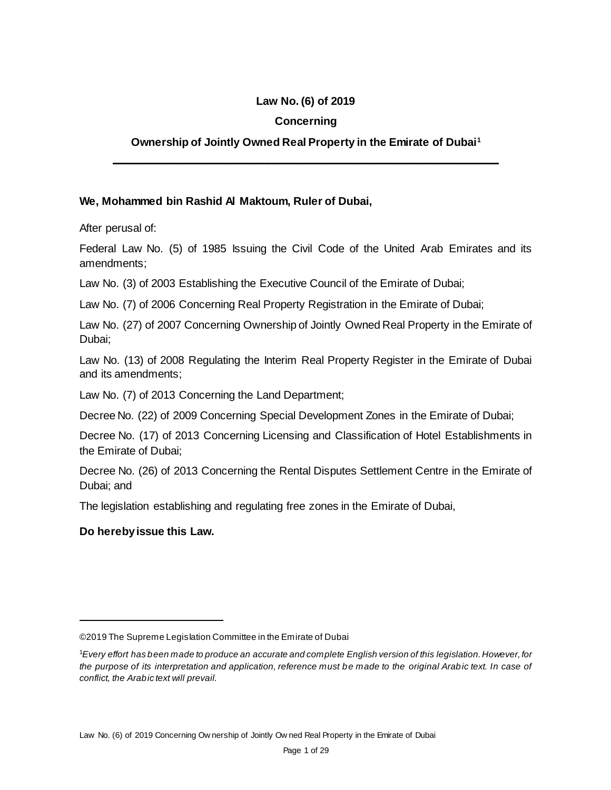#### **Law No. (6) of 2019**

#### **Concerning**

#### **Ownership of Jointly Owned Real Property in the Emirate of Dubai<sup>1</sup>**

**ــــــــــــــــــــــــــــــــــــــــــــــــــــــــــــــــــــــــــــــــــــــــــــــــــــــــــــــــــــــــــــــــــــــــــــــــــــــــــــــــــــــــــــــــ**

#### **We, Mohammed bin Rashid Al Maktoum, Ruler of Dubai,**

After perusal of:

Federal Law No. (5) of 1985 Issuing the Civil Code of the United Arab Emirates and its amendments;

Law No. (3) of 2003 Establishing the Executive Council of the Emirate of Dubai;

Law No. (7) of 2006 Concerning Real Property Registration in the Emirate of Dubai;

Law No. (27) of 2007 Concerning Ownership of Jointly Owned Real Property in the Emirate of Dubai;

Law No. (13) of 2008 Regulating the Interim Real Property Register in the Emirate of Dubai and its amendments;

Law No. (7) of 2013 Concerning the Land Department;

Decree No. (22) of 2009 Concerning Special Development Zones in the Emirate of Dubai;

Decree No. (17) of 2013 Concerning Licensing and Classification of Hotel Establishments in the Emirate of Dubai;

Decree No. (26) of 2013 Concerning the Rental Disputes Settlement Centre in the Emirate of Dubai; and

The legislation establishing and regulating free zones in the Emirate of Dubai,

#### **Do hereby issue this Law.**

 $\ddot{\phantom{a}}$ 

<sup>©2019</sup> The Supreme Legislation Committee in the Emirate of Dubai

<sup>1</sup>*Every effort has been made to produce an accurate and complete English version of this legislation. However, for the purpose of its interpretation and application, reference must be made to the original Arabic text. In case of conflict, the Arabic text will prevail.*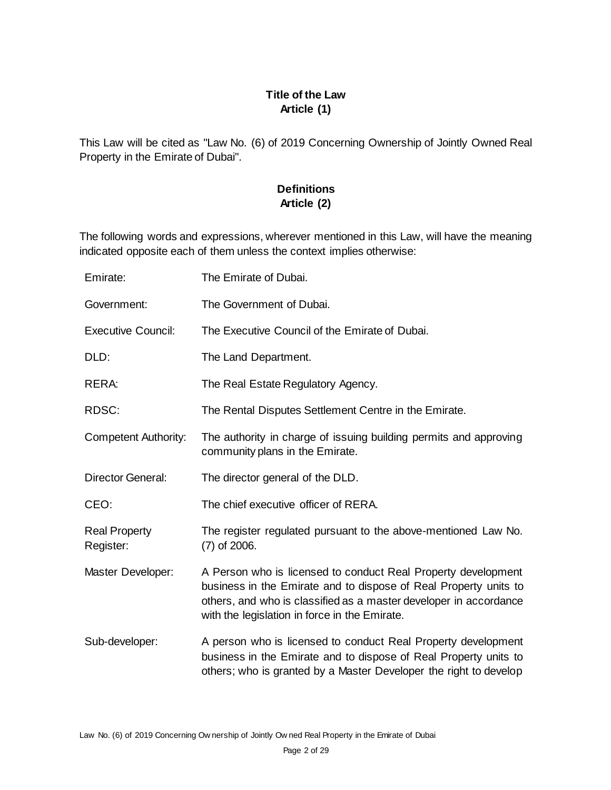# **Title of the Law Article (1)**

This Law will be cited as "Law No. (6) of 2019 Concerning Ownership of Jointly Owned Real Property in the Emirate of Dubai".

# **Definitions Article (2)**

The following words and expressions, wherever mentioned in this Law, will have the meaning indicated opposite each of them unless the context implies otherwise:

| Emirate:                          | The Emirate of Dubai.                                                                                                                                                                                                                                   |
|-----------------------------------|---------------------------------------------------------------------------------------------------------------------------------------------------------------------------------------------------------------------------------------------------------|
| Government:                       | The Government of Dubai.                                                                                                                                                                                                                                |
| <b>Executive Council:</b>         | The Executive Council of the Emirate of Dubai.                                                                                                                                                                                                          |
| DLD:                              | The Land Department.                                                                                                                                                                                                                                    |
| RERA:                             | The Real Estate Regulatory Agency.                                                                                                                                                                                                                      |
| RDSC:                             | The Rental Disputes Settlement Centre in the Emirate.                                                                                                                                                                                                   |
| <b>Competent Authority:</b>       | The authority in charge of issuing building permits and approving<br>community plans in the Emirate.                                                                                                                                                    |
| Director General:                 | The director general of the DLD.                                                                                                                                                                                                                        |
| CEO:                              | The chief executive officer of RERA.                                                                                                                                                                                                                    |
| <b>Real Property</b><br>Register: | The register regulated pursuant to the above-mentioned Law No.<br>$(7)$ of 2006.                                                                                                                                                                        |
| Master Developer:                 | A Person who is licensed to conduct Real Property development<br>business in the Emirate and to dispose of Real Property units to<br>others, and who is classified as a master developer in accordance<br>with the legislation in force in the Emirate. |
| Sub-developer:                    | A person who is licensed to conduct Real Property development<br>business in the Emirate and to dispose of Real Property units to<br>others; who is granted by a Master Developer the right to develop                                                  |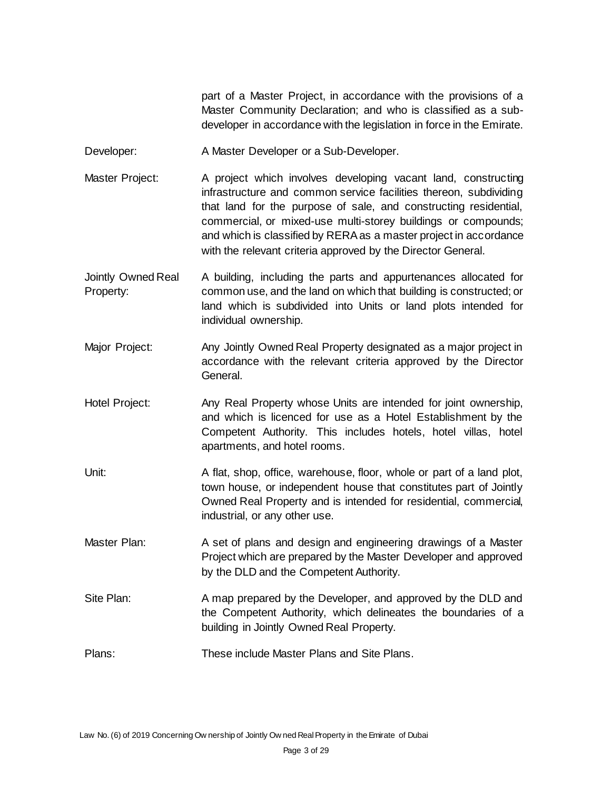part of a Master Project, in accordance with the provisions of a Master Community Declaration; and who is classified as a subdeveloper in accordance with the legislation in force in the Emirate.

- Developer: A Master Developer or a Sub-Developer.
- Master Project: A project which involves developing vacant land, constructing infrastructure and common service facilities thereon, subdividing that land for the purpose of sale, and constructing residential, commercial, or mixed-use multi-storey buildings or compounds; and which is classified by RERA as a master project in accordance with the relevant criteria approved by the Director General.
- Jointly Owned Real Property: A building, including the parts and appurtenances allocated for common use, and the land on which that building is constructed; or land which is subdivided into Units or land plots intended for individual ownership.
- Major Project: Any Jointly Owned Real Property designated as a major project in accordance with the relevant criteria approved by the Director General.
- Hotel Project: Any Real Property whose Units are intended for joint ownership, and which is licenced for use as a Hotel Establishment by the Competent Authority. This includes hotels, hotel villas, hotel apartments, and hotel rooms.
- Unit: A flat, shop, office, warehouse, floor, whole or part of a land plot, town house, or independent house that constitutes part of Jointly Owned Real Property and is intended for residential, commercial, industrial, or any other use.
- Master Plan: A set of plans and design and engineering drawings of a Master Project which are prepared by the Master Developer and approved by the DLD and the Competent Authority.
- Site Plan: A map prepared by the Developer, and approved by the DLD and the Competent Authority, which delineates the boundaries of a building in Jointly Owned Real Property.
- Plans: These include Master Plans and Site Plans.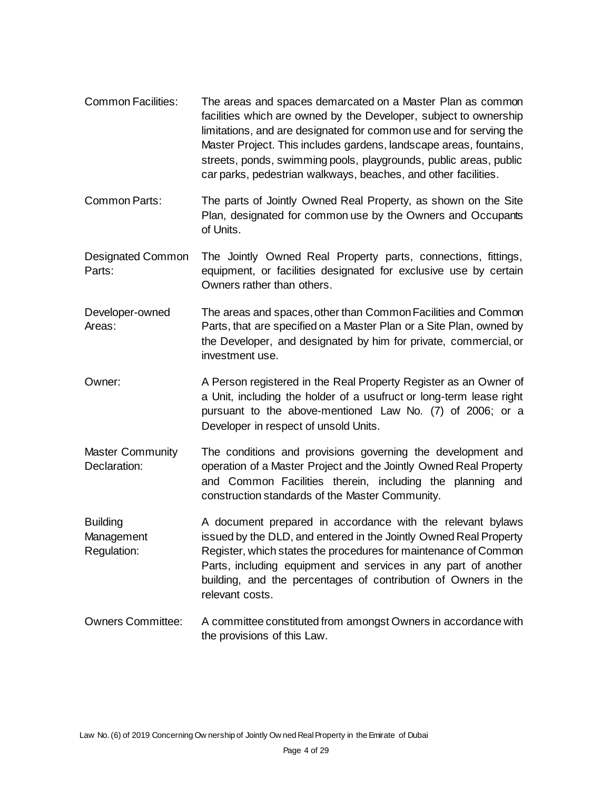- Common Facilities: The areas and spaces demarcated on a Master Plan as common facilities which are owned by the Developer, subject to ownership limitations, and are designated for common use and for serving the Master Project. This includes gardens, landscape areas, fountains, streets, ponds, swimming pools, playgrounds, public areas, public car parks, pedestrian walkways, beaches, and other facilities.
- Common Parts: The parts of Jointly Owned Real Property, as shown on the Site Plan, designated for common use by the Owners and Occupants of Units.
- Designated Common Parts: The Jointly Owned Real Property parts, connections, fittings, equipment, or facilities designated for exclusive use by certain Owners rather than others.
- Developer-owned Areas: The areas and spaces, other than Common Facilities and Common Parts, that are specified on a Master Plan or a Site Plan, owned by the Developer, and designated by him for private, commercial, or investment use.
- Owner: A Person registered in the Real Property Register as an Owner of a Unit, including the holder of a usufruct or long-term lease right pursuant to the above-mentioned Law No. (7) of 2006; or a Developer in respect of unsold Units.
- Master Community Declaration: The conditions and provisions governing the development and operation of a Master Project and the Jointly Owned Real Property and Common Facilities therein, including the planning and construction standards of the Master Community.
- **Building** Management Regulation: A document prepared in accordance with the relevant bylaws issued by the DLD, and entered in the Jointly Owned Real Property Register, which states the procedures for maintenance of Common Parts, including equipment and services in any part of another building, and the percentages of contribution of Owners in the relevant costs.
- Owners Committee: A committee constituted from amongst Owners in accordance with the provisions of this Law.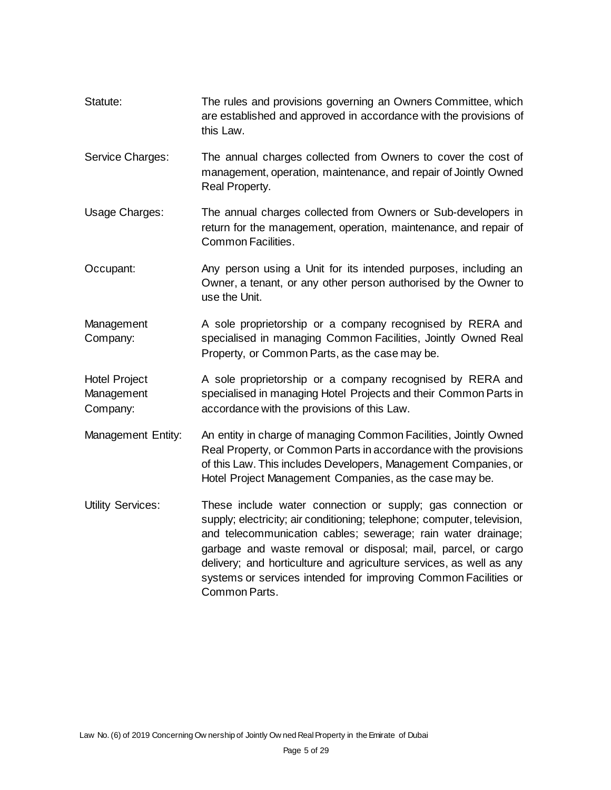| Statute: | The rules and provisions governing an Owners Committee, which     |
|----------|-------------------------------------------------------------------|
|          | are established and approved in accordance with the provisions of |
|          | this Law.                                                         |

- Service Charges: The annual charges collected from Owners to cover the cost of management, operation, maintenance, and repair of Jointly Owned Real Property.
- Usage Charges: The annual charges collected from Owners or Sub-developers in return for the management, operation, maintenance, and repair of Common Facilities.
- Occupant: Any person using a Unit for its intended purposes, including an Owner, a tenant, or any other person authorised by the Owner to use the Unit.
- Management Company: A sole proprietorship or a company recognised by RERA and specialised in managing Common Facilities, Jointly Owned Real Property, or Common Parts, as the case may be.
- Hotel Project Management Company: A sole proprietorship or a company recognised by RERA and specialised in managing Hotel Projects and their Common Parts in accordance with the provisions of this Law.
- Management Entity: An entity in charge of managing Common Facilities, Jointly Owned Real Property, or Common Parts in accordance with the provisions of this Law. This includes Developers, Management Companies, or Hotel Project Management Companies, as the case may be.
- Utility Services: These include water connection or supply; gas connection or supply; electricity; air conditioning; telephone; computer, television, and telecommunication cables; sewerage; rain water drainage; garbage and waste removal or disposal; mail, parcel, or cargo delivery; and horticulture and agriculture services, as well as any systems or services intended for improving Common Facilities or Common Parts.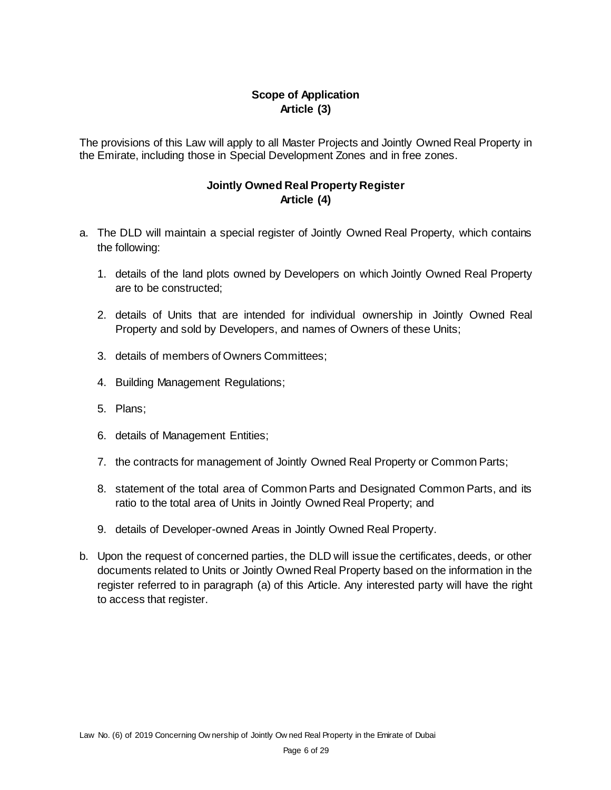### **Scope of Application Article (3)**

The provisions of this Law will apply to all Master Projects and Jointly Owned Real Property in the Emirate, including those in Special Development Zones and in free zones.

#### **Jointly Owned Real Property Register Article (4)**

- a. The DLD will maintain a special register of Jointly Owned Real Property, which contains the following:
	- 1. details of the land plots owned by Developers on which Jointly Owned Real Property are to be constructed;
	- 2. details of Units that are intended for individual ownership in Jointly Owned Real Property and sold by Developers, and names of Owners of these Units;
	- 3. details of members of Owners Committees;
	- 4. Building Management Regulations;
	- 5. Plans;
	- 6. details of Management Entities;
	- 7. the contracts for management of Jointly Owned Real Property or Common Parts;
	- 8. statement of the total area of Common Parts and Designated Common Parts, and its ratio to the total area of Units in Jointly Owned Real Property; and
	- 9. details of Developer-owned Areas in Jointly Owned Real Property.
- b. Upon the request of concerned parties, the DLD will issue the certificates, deeds, or other documents related to Units or Jointly Owned Real Property based on the information in the register referred to in paragraph (a) of this Article. Any interested party will have the right to access that register.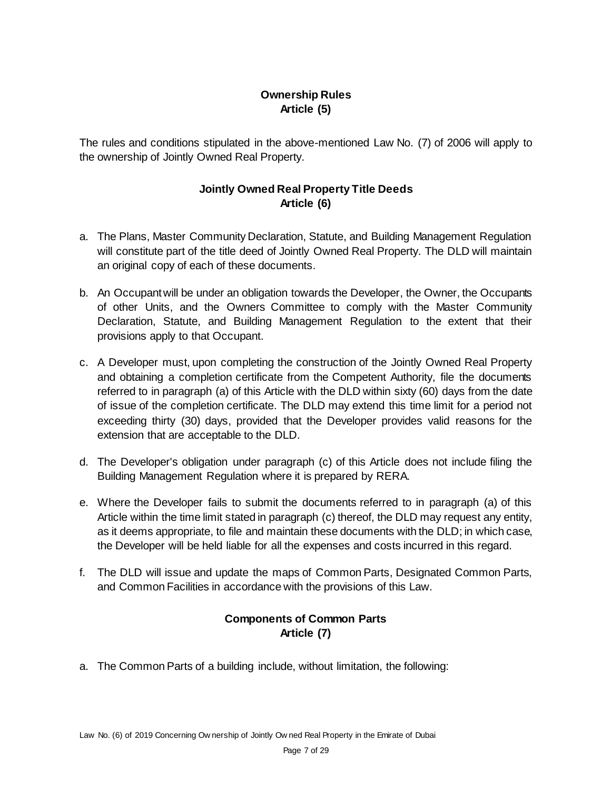## **Ownership Rules Article (5)**

The rules and conditions stipulated in the above-mentioned Law No. (7) of 2006 will apply to the ownership of Jointly Owned Real Property.

### **Jointly Owned Real Property Title Deeds Article (6)**

- a. The Plans, Master Community Declaration, Statute, and Building Management Regulation will constitute part of the title deed of Jointly Owned Real Property. The DLD will maintain an original copy of each of these documents.
- b. An Occupant will be under an obligation towards the Developer, the Owner, the Occupants of other Units, and the Owners Committee to comply with the Master Community Declaration, Statute, and Building Management Regulation to the extent that their provisions apply to that Occupant.
- c. A Developer must, upon completing the construction of the Jointly Owned Real Property and obtaining a completion certificate from the Competent Authority, file the documents referred to in paragraph (a) of this Article with the DLD within sixty (60) days from the date of issue of the completion certificate. The DLD may extend this time limit for a period not exceeding thirty (30) days, provided that the Developer provides valid reasons for the extension that are acceptable to the DLD.
- d. The Developer's obligation under paragraph (c) of this Article does not include filing the Building Management Regulation where it is prepared by RERA.
- e. Where the Developer fails to submit the documents referred to in paragraph (a) of this Article within the time limit stated in paragraph (c) thereof, the DLD may request any entity, as it deems appropriate, to file and maintain these documents with the DLD; in which case, the Developer will be held liable for all the expenses and costs incurred in this regard.
- f. The DLD will issue and update the maps of Common Parts, Designated Common Parts, and Common Facilities in accordance with the provisions of this Law.

# **Components of Common Parts Article (7)**

a. The Common Parts of a building include, without limitation, the following: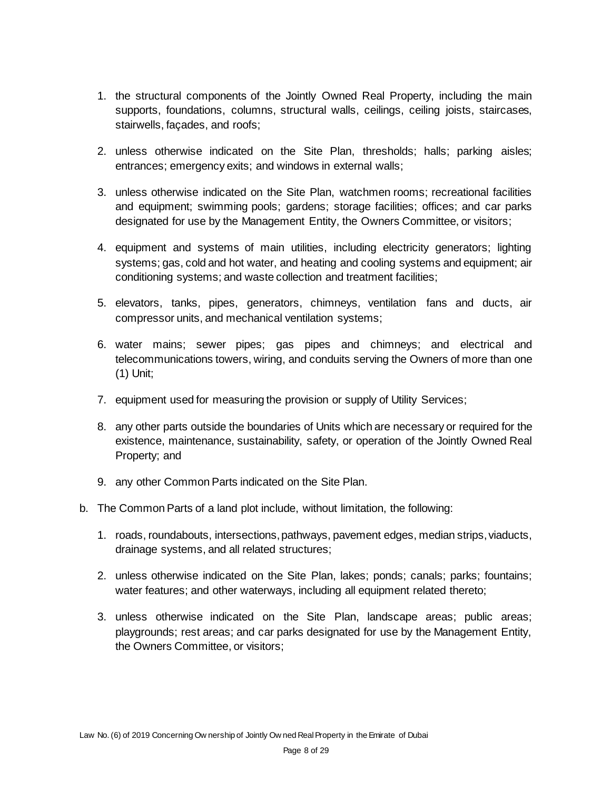- 1. the structural components of the Jointly Owned Real Property, including the main supports, foundations, columns, structural walls, ceilings, ceiling joists, staircases, stairwells, façades, and roofs;
- 2. unless otherwise indicated on the Site Plan, thresholds; halls; parking aisles; entrances; emergency exits; and windows in external walls;
- 3. unless otherwise indicated on the Site Plan, watchmen rooms; recreational facilities and equipment; swimming pools; gardens; storage facilities; offices; and car parks designated for use by the Management Entity, the Owners Committee, or visitors;
- 4. equipment and systems of main utilities, including electricity generators; lighting systems; gas, cold and hot water, and heating and cooling systems and equipment; air conditioning systems; and waste collection and treatment facilities;
- 5. elevators, tanks, pipes, generators, chimneys, ventilation fans and ducts, air compressor units, and mechanical ventilation systems;
- 6. water mains; sewer pipes; gas pipes and chimneys; and electrical and telecommunications towers, wiring, and conduits serving the Owners of more than one (1) Unit;
- 7. equipment used for measuring the provision or supply of Utility Services;
- 8. any other parts outside the boundaries of Units which are necessary or required for the existence, maintenance, sustainability, safety, or operation of the Jointly Owned Real Property; and
- 9. any other Common Parts indicated on the Site Plan.
- b. The Common Parts of a land plot include, without limitation, the following:
	- 1. roads, roundabouts, intersections, pathways, pavement edges, median strips, viaducts, drainage systems, and all related structures;
	- 2. unless otherwise indicated on the Site Plan, lakes; ponds; canals; parks; fountains; water features; and other waterways, including all equipment related thereto;
	- 3. unless otherwise indicated on the Site Plan, landscape areas; public areas; playgrounds; rest areas; and car parks designated for use by the Management Entity, the Owners Committee, or visitors;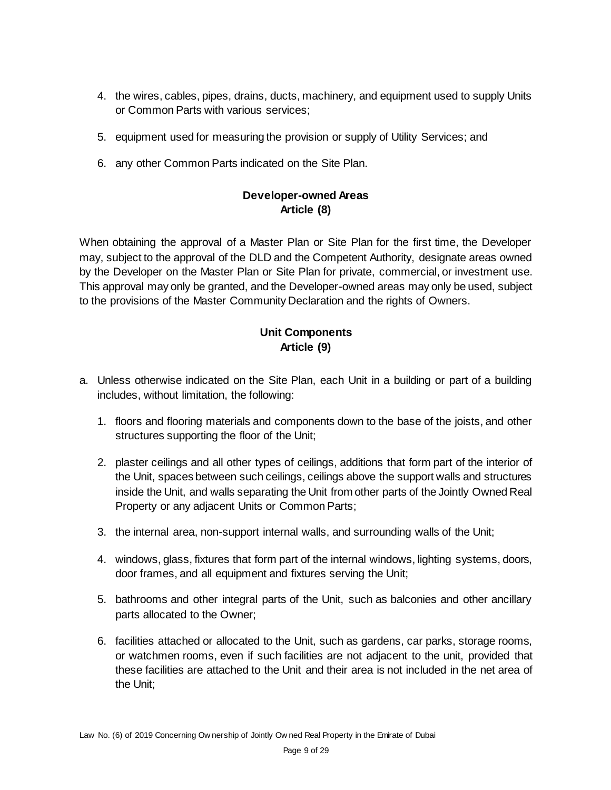- 4. the wires, cables, pipes, drains, ducts, machinery, and equipment used to supply Units or Common Parts with various services;
- 5. equipment used for measuring the provision or supply of Utility Services; and
- 6. any other Common Parts indicated on the Site Plan.

#### **Developer-owned Areas Article (8)**

When obtaining the approval of a Master Plan or Site Plan for the first time, the Developer may, subject to the approval of the DLD and the Competent Authority, designate areas owned by the Developer on the Master Plan or Site Plan for private, commercial, or investment use. This approval may only be granted, and the Developer-owned areas may only be used, subject to the provisions of the Master Community Declaration and the rights of Owners.

# **Unit Components Article (9)**

- a. Unless otherwise indicated on the Site Plan, each Unit in a building or part of a building includes, without limitation, the following:
	- 1. floors and flooring materials and components down to the base of the joists, and other structures supporting the floor of the Unit;
	- 2. plaster ceilings and all other types of ceilings, additions that form part of the interior of the Unit, spaces between such ceilings, ceilings above the support walls and structures inside the Unit, and walls separating the Unit from other parts of the Jointly Owned Real Property or any adjacent Units or Common Parts;
	- 3. the internal area, non-support internal walls, and surrounding walls of the Unit;
	- 4. windows, glass, fixtures that form part of the internal windows, lighting systems, doors, door frames, and all equipment and fixtures serving the Unit;
	- 5. bathrooms and other integral parts of the Unit, such as balconies and other ancillary parts allocated to the Owner;
	- 6. facilities attached or allocated to the Unit, such as gardens, car parks, storage rooms, or watchmen rooms, even if such facilities are not adjacent to the unit, provided that these facilities are attached to the Unit and their area is not included in the net area of the Unit;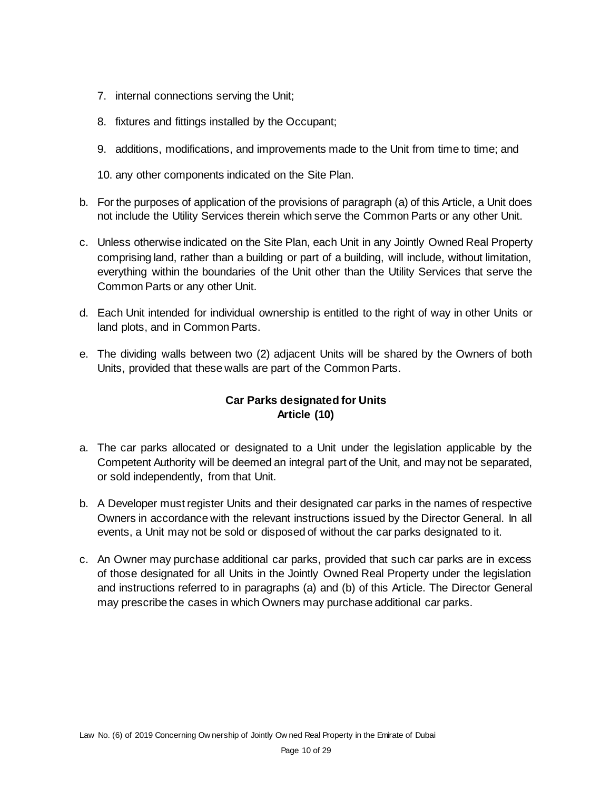- 7. internal connections serving the Unit;
- 8. fixtures and fittings installed by the Occupant;
- 9. additions, modifications, and improvements made to the Unit from time to time; and

10. any other components indicated on the Site Plan.

- b. For the purposes of application of the provisions of paragraph (a) of this Article, a Unit does not include the Utility Services therein which serve the Common Parts or any other Unit.
- c. Unless otherwise indicated on the Site Plan, each Unit in any Jointly Owned Real Property comprising land, rather than a building or part of a building, will include, without limitation, everything within the boundaries of the Unit other than the Utility Services that serve the Common Parts or any other Unit.
- d. Each Unit intended for individual ownership is entitled to the right of way in other Units or land plots, and in Common Parts.
- e. The dividing walls between two (2) adjacent Units will be shared by the Owners of both Units, provided that these walls are part of the Common Parts.

# **Car Parks designated for Units Article (10)**

- a. The car parks allocated or designated to a Unit under the legislation applicable by the Competent Authority will be deemed an integral part of the Unit, and may not be separated, or sold independently, from that Unit.
- b. A Developer must register Units and their designated car parks in the names of respective Owners in accordance with the relevant instructions issued by the Director General. In all events, a Unit may not be sold or disposed of without the car parks designated to it.
- c. An Owner may purchase additional car parks, provided that such car parks are in excess of those designated for all Units in the Jointly Owned Real Property under the legislation and instructions referred to in paragraphs (a) and (b) of this Article. The Director General may prescribe the cases in which Owners may purchase additional car parks.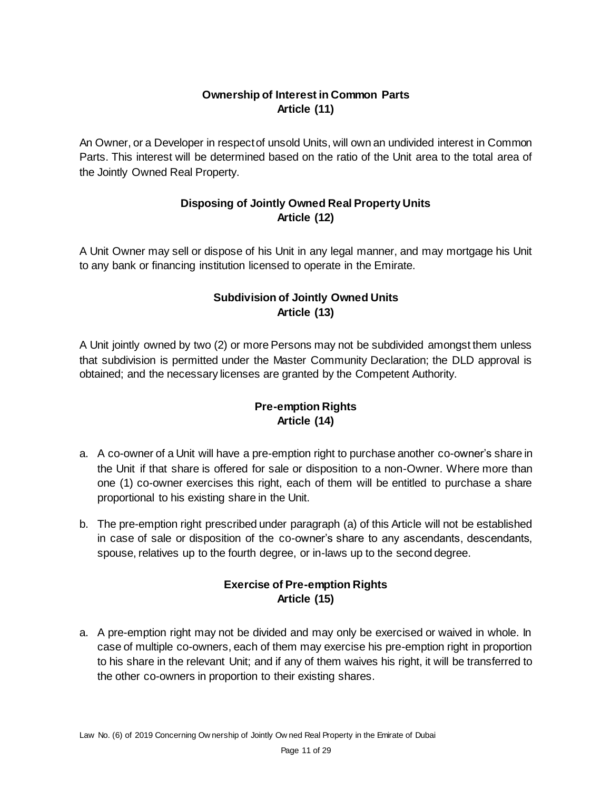# **Ownership of Interest in Common Parts Article (11)**

An Owner, or a Developer in respect of unsold Units, will own an undivided interest in Common Parts. This interest will be determined based on the ratio of the Unit area to the total area of the Jointly Owned Real Property.

# **Disposing of Jointly Owned Real Property Units Article (12)**

A Unit Owner may sell or dispose of his Unit in any legal manner, and may mortgage his Unit to any bank or financing institution licensed to operate in the Emirate.

### **Subdivision of Jointly Owned Units Article (13)**

A Unit jointly owned by two (2) or more Persons may not be subdivided amongst them unless that subdivision is permitted under the Master Community Declaration; the DLD approval is obtained; and the necessary licenses are granted by the Competent Authority.

# **Pre-emption Rights Article (14)**

- a. A co-owner of a Unit will have a pre-emption right to purchase another co-owner's share in the Unit if that share is offered for sale or disposition to a non-Owner. Where more than one (1) co-owner exercises this right, each of them will be entitled to purchase a share proportional to his existing share in the Unit.
- b. The pre-emption right prescribed under paragraph (a) of this Article will not be established in case of sale or disposition of the co-owner's share to any ascendants, descendants, spouse, relatives up to the fourth degree, or in-laws up to the second degree.

### **Exercise of Pre-emption Rights Article (15)**

a. A pre-emption right may not be divided and may only be exercised or waived in whole. In case of multiple co-owners, each of them may exercise his pre-emption right in proportion to his share in the relevant Unit; and if any of them waives his right, it will be transferred to the other co-owners in proportion to their existing shares.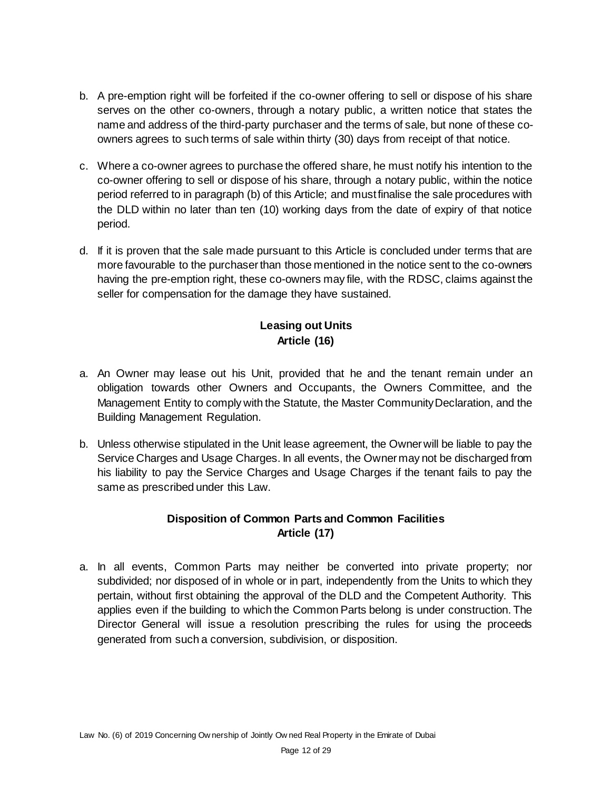- b. A pre-emption right will be forfeited if the co-owner offering to sell or dispose of his share serves on the other co-owners, through a notary public, a written notice that states the name and address of the third-party purchaser and the terms of sale, but none of these coowners agrees to such terms of sale within thirty (30) days from receipt of that notice.
- c. Where a co-owner agrees to purchase the offered share, he must notify his intention to the co-owner offering to sell or dispose of his share, through a notary public, within the notice period referred to in paragraph (b) of this Article; and must finalise the sale procedures with the DLD within no later than ten (10) working days from the date of expiry of that notice period.
- d. If it is proven that the sale made pursuant to this Article is concluded under terms that are more favourable to the purchaser than those mentioned in the notice sent to the co-owners having the pre-emption right, these co-owners may file, with the RDSC, claims against the seller for compensation for the damage they have sustained.

# **Leasing out Units Article (16)**

- a. An Owner may lease out his Unit, provided that he and the tenant remain under an obligation towards other Owners and Occupants, the Owners Committee, and the Management Entity to comply with the Statute, the Master Community Declaration, and the Building Management Regulation.
- b. Unless otherwise stipulated in the Unit lease agreement, the Owner will be liable to pay the Service Charges and Usage Charges. In all events, the Owner may not be discharged from his liability to pay the Service Charges and Usage Charges if the tenant fails to pay the same as prescribed under this Law.

# **Disposition of Common Parts and Common Facilities Article (17)**

a. In all events, Common Parts may neither be converted into private property; nor subdivided; nor disposed of in whole or in part, independently from the Units to which they pertain, without first obtaining the approval of the DLD and the Competent Authority. This applies even if the building to which the Common Parts belong is under construction. The Director General will issue a resolution prescribing the rules for using the proceeds generated from such a conversion, subdivision, or disposition.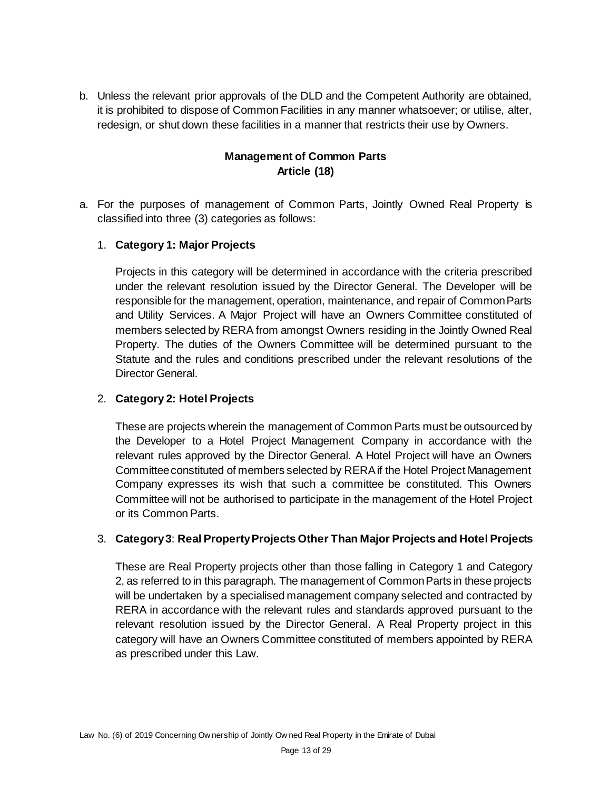b. Unless the relevant prior approvals of the DLD and the Competent Authority are obtained, it is prohibited to dispose of Common Facilities in any manner whatsoever; or utilise, alter, redesign, or shut down these facilities in a manner that restricts their use by Owners.

## **Management of Common Parts Article (18)**

a. For the purposes of management of Common Parts, Jointly Owned Real Property is classified into three (3) categories as follows:

#### 1. **Category 1: Major Projects**

Projects in this category will be determined in accordance with the criteria prescribed under the relevant resolution issued by the Director General. The Developer will be responsible for the management, operation, maintenance, and repair of Common Parts and Utility Services. A Major Project will have an Owners Committee constituted of members selected by RERA from amongst Owners residing in the Jointly Owned Real Property. The duties of the Owners Committee will be determined pursuant to the Statute and the rules and conditions prescribed under the relevant resolutions of the Director General.

#### 2. **Category 2: Hotel Projects**

These are projects wherein the management of Common Parts must be outsourced by the Developer to a Hotel Project Management Company in accordance with the relevant rules approved by the Director General. A Hotel Project will have an Owners Committee constituted of members selected by RERA if the Hotel Project Management Company expresses its wish that such a committee be constituted. This Owners Committee will not be authorised to participate in the management of the Hotel Project or its Common Parts.

### 3. **Category 3**: **Real Property Projects Other Than Major Projects and Hotel Projects**

These are Real Property projects other than those falling in Category 1 and Category 2, as referred to in this paragraph. The management of Common Parts in these projects will be undertaken by a specialised management company selected and contracted by RERA in accordance with the relevant rules and standards approved pursuant to the relevant resolution issued by the Director General. A Real Property project in this category will have an Owners Committee constituted of members appointed by RERA as prescribed under this Law.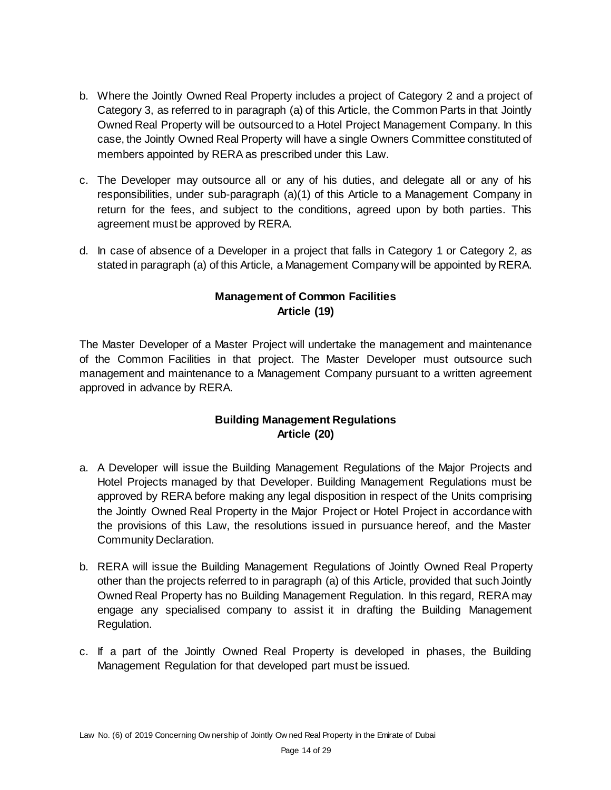- b. Where the Jointly Owned Real Property includes a project of Category 2 and a project of Category 3, as referred to in paragraph (a) of this Article, the Common Parts in that Jointly Owned Real Property will be outsourced to a Hotel Project Management Company. In this case, the Jointly Owned Real Property will have a single Owners Committee constituted of members appointed by RERA as prescribed under this Law.
- c. The Developer may outsource all or any of his duties, and delegate all or any of his responsibilities, under sub-paragraph (a)(1) of this Article to a Management Company in return for the fees, and subject to the conditions, agreed upon by both parties. This agreement must be approved by RERA.
- d. In case of absence of a Developer in a project that falls in Category 1 or Category 2, as stated in paragraph (a) of this Article, a Management Company will be appointed by RERA.

# **Management of Common Facilities Article (19)**

The Master Developer of a Master Project will undertake the management and maintenance of the Common Facilities in that project. The Master Developer must outsource such management and maintenance to a Management Company pursuant to a written agreement approved in advance by RERA.

### **Building Management Regulations Article (20)**

- a. A Developer will issue the Building Management Regulations of the Major Projects and Hotel Projects managed by that Developer. Building Management Regulations must be approved by RERA before making any legal disposition in respect of the Units comprising the Jointly Owned Real Property in the Major Project or Hotel Project in accordance with the provisions of this Law, the resolutions issued in pursuance hereof, and the Master Community Declaration.
- b. RERA will issue the Building Management Regulations of Jointly Owned Real Property other than the projects referred to in paragraph (a) of this Article, provided that such Jointly Owned Real Property has no Building Management Regulation. In this regard, RERA may engage any specialised company to assist it in drafting the Building Management Regulation.
- c. If a part of the Jointly Owned Real Property is developed in phases, the Building Management Regulation for that developed part must be issued.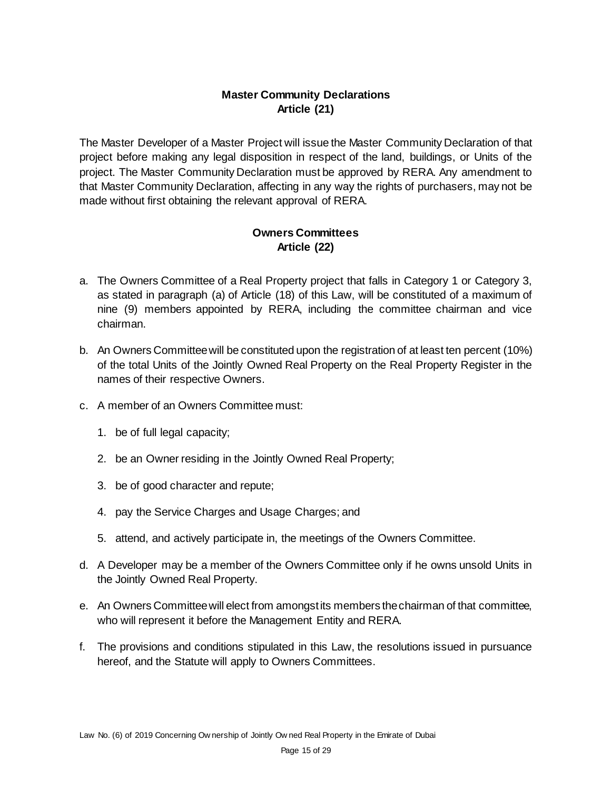# **Master Community Declarations Article (21)**

The Master Developer of a Master Project will issue the Master Community Declaration of that project before making any legal disposition in respect of the land, buildings, or Units of the project. The Master Community Declaration must be approved by RERA. Any amendment to that Master Community Declaration, affecting in any way the rights of purchasers, may not be made without first obtaining the relevant approval of RERA.

### **Owners Committees Article (22)**

- a. The Owners Committee of a Real Property project that falls in Category 1 or Category 3, as stated in paragraph (a) of Article (18) of this Law, will be constituted of a maximum of nine (9) members appointed by RERA, including the committee chairman and vice chairman.
- b. An Owners Committee will be constituted upon the registration of at least ten percent (10%) of the total Units of the Jointly Owned Real Property on the Real Property Register in the names of their respective Owners.
- c. A member of an Owners Committee must:
	- 1. be of full legal capacity;
	- 2. be an Owner residing in the Jointly Owned Real Property;
	- 3. be of good character and repute;
	- 4. pay the Service Charges and Usage Charges; and
	- 5. attend, and actively participate in, the meetings of the Owners Committee.
- d. A Developer may be a member of the Owners Committee only if he owns unsold Units in the Jointly Owned Real Property.
- e. An Owners Committee will elect from amongst its members the chairman of that committee, who will represent it before the Management Entity and RERA.
- f. The provisions and conditions stipulated in this Law, the resolutions issued in pursuance hereof, and the Statute will apply to Owners Committees.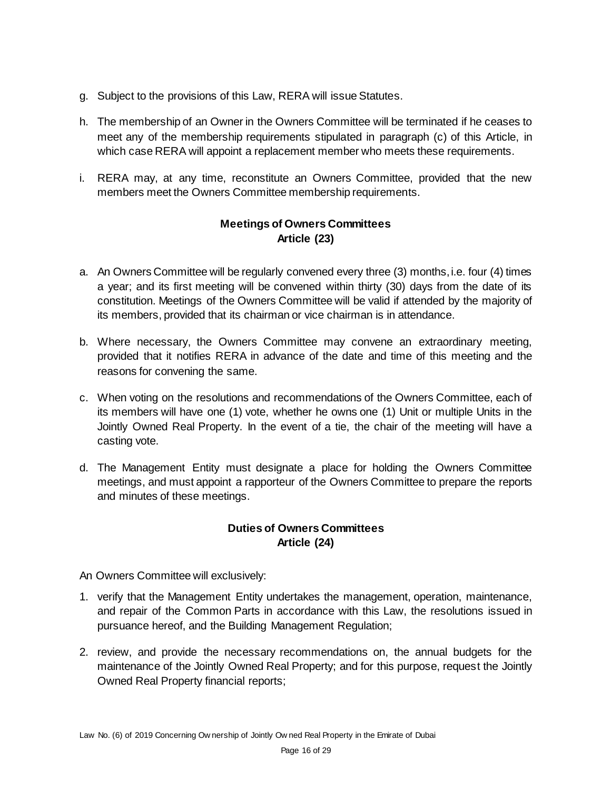- g. Subject to the provisions of this Law, RERA will issue Statutes.
- h. The membership of an Owner in the Owners Committee will be terminated if he ceases to meet any of the membership requirements stipulated in paragraph (c) of this Article, in which case RERA will appoint a replacement member who meets these requirements.
- i. RERA may, at any time, reconstitute an Owners Committee, provided that the new members meet the Owners Committee membership requirements.

# **Meetings of Owners Committees Article (23)**

- a. An Owners Committee will be regularly convened every three (3) months, i.e. four (4) times a year; and its first meeting will be convened within thirty (30) days from the date of its constitution. Meetings of the Owners Committee will be valid if attended by the majority of its members, provided that its chairman or vice chairman is in attendance.
- b. Where necessary, the Owners Committee may convene an extraordinary meeting, provided that it notifies RERA in advance of the date and time of this meeting and the reasons for convening the same.
- c. When voting on the resolutions and recommendations of the Owners Committee, each of its members will have one (1) vote, whether he owns one (1) Unit or multiple Units in the Jointly Owned Real Property. In the event of a tie, the chair of the meeting will have a casting vote.
- d. The Management Entity must designate a place for holding the Owners Committee meetings, and must appoint a rapporteur of the Owners Committee to prepare the reports and minutes of these meetings.

# **Duties of Owners Committees Article (24)**

An Owners Committee will exclusively:

- 1. verify that the Management Entity undertakes the management, operation, maintenance, and repair of the Common Parts in accordance with this Law, the resolutions issued in pursuance hereof, and the Building Management Regulation;
- 2. review, and provide the necessary recommendations on, the annual budgets for the maintenance of the Jointly Owned Real Property; and for this purpose, request the Jointly Owned Real Property financial reports;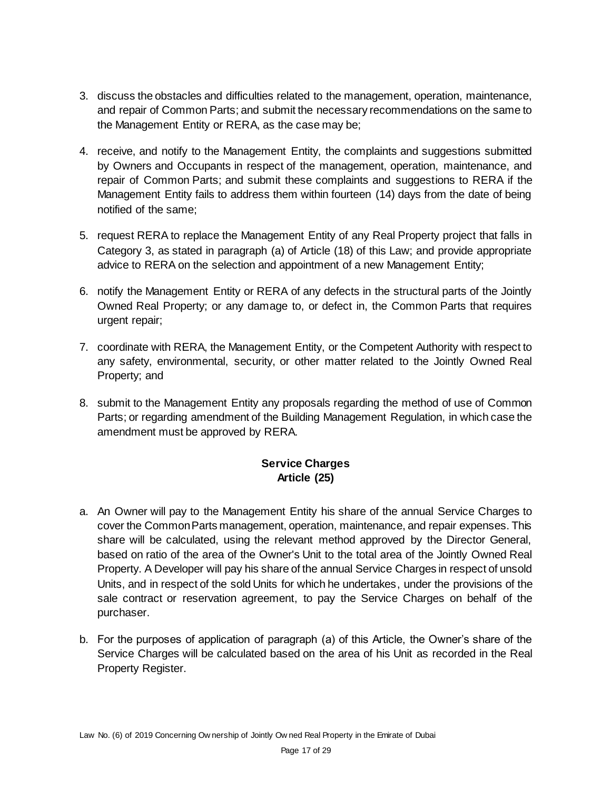- 3. discuss the obstacles and difficulties related to the management, operation, maintenance, and repair of Common Parts; and submit the necessary recommendations on the same to the Management Entity or RERA, as the case may be;
- 4. receive, and notify to the Management Entity, the complaints and suggestions submitted by Owners and Occupants in respect of the management, operation, maintenance, and repair of Common Parts; and submit these complaints and suggestions to RERA if the Management Entity fails to address them within fourteen (14) days from the date of being notified of the same;
- 5. request RERA to replace the Management Entity of any Real Property project that falls in Category 3, as stated in paragraph (a) of Article (18) of this Law; and provide appropriate advice to RERA on the selection and appointment of a new Management Entity;
- 6. notify the Management Entity or RERA of any defects in the structural parts of the Jointly Owned Real Property; or any damage to, or defect in, the Common Parts that requires urgent repair;
- 7. coordinate with RERA, the Management Entity, or the Competent Authority with respect to any safety, environmental, security, or other matter related to the Jointly Owned Real Property; and
- 8. submit to the Management Entity any proposals regarding the method of use of Common Parts; or regarding amendment of the Building Management Regulation, in which case the amendment must be approved by RERA.

# **Service Charges Article (25)**

- a. An Owner will pay to the Management Entity his share of the annual Service Charges to cover the Common Parts management, operation, maintenance, and repair expenses. This share will be calculated, using the relevant method approved by the Director General, based on ratio of the area of the Owner's Unit to the total area of the Jointly Owned Real Property. A Developer will pay his share of the annual Service Charges in respect of unsold Units, and in respect of the sold Units for which he undertakes, under the provisions of the sale contract or reservation agreement, to pay the Service Charges on behalf of the purchaser.
- b. For the purposes of application of paragraph (a) of this Article, the Owner's share of the Service Charges will be calculated based on the area of his Unit as recorded in the Real Property Register.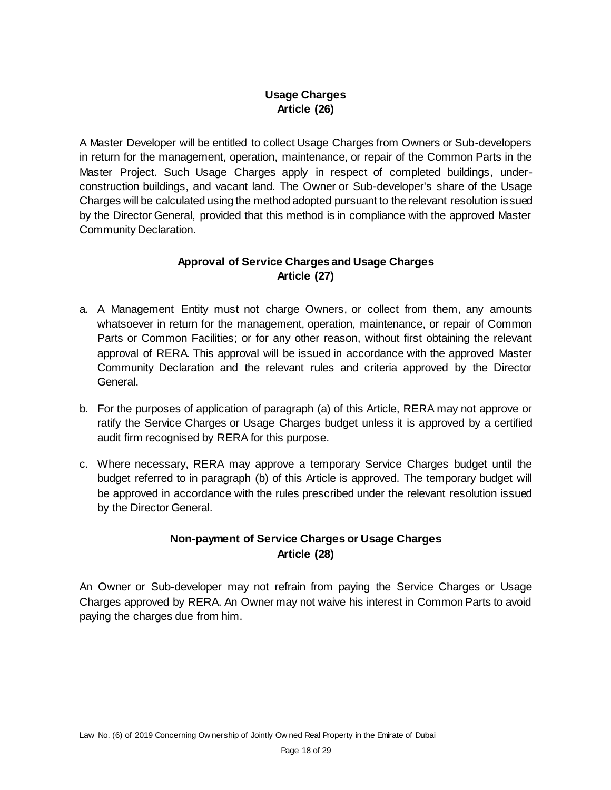# **Usage Charges Article (26)**

A Master Developer will be entitled to collect Usage Charges from Owners or Sub-developers in return for the management, operation, maintenance, or repair of the Common Parts in the Master Project. Such Usage Charges apply in respect of completed buildings, underconstruction buildings, and vacant land. The Owner or Sub-developer's share of the Usage Charges will be calculated using the method adopted pursuant to the relevant resolution issued by the Director General, provided that this method is in compliance with the approved Master Community Declaration.

## **Approval of Service Charges and Usage Charges Article (27)**

- a. A Management Entity must not charge Owners, or collect from them, any amounts whatsoever in return for the management, operation, maintenance, or repair of Common Parts or Common Facilities; or for any other reason, without first obtaining the relevant approval of RERA. This approval will be issued in accordance with the approved Master Community Declaration and the relevant rules and criteria approved by the Director General.
- b. For the purposes of application of paragraph (a) of this Article, RERA may not approve or ratify the Service Charges or Usage Charges budget unless it is approved by a certified audit firm recognised by RERA for this purpose.
- c. Where necessary, RERA may approve a temporary Service Charges budget until the budget referred to in paragraph (b) of this Article is approved. The temporary budget will be approved in accordance with the rules prescribed under the relevant resolution issued by the Director General.

# **Non-payment of Service Charges or Usage Charges Article (28)**

An Owner or Sub-developer may not refrain from paying the Service Charges or Usage Charges approved by RERA. An Owner may not waive his interest in Common Parts to avoid paying the charges due from him.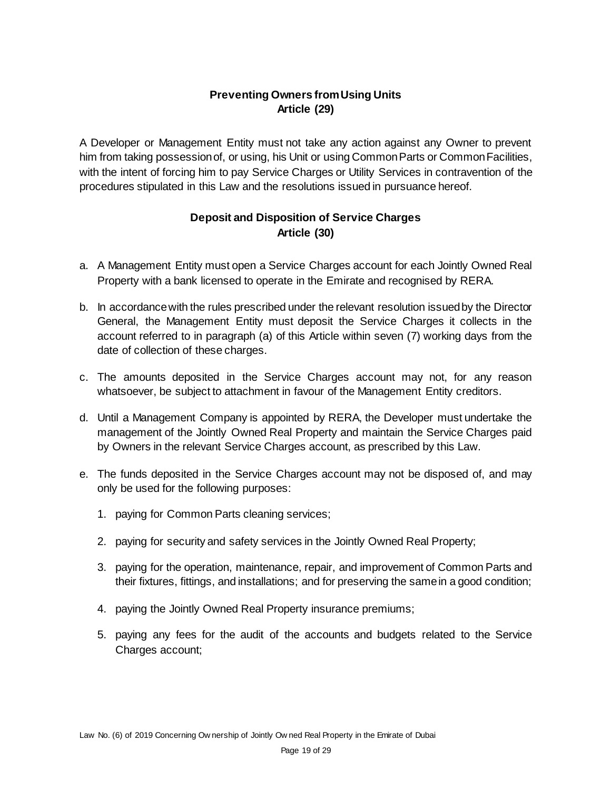# **Preventing Owners from Using Units Article (29)**

A Developer or Management Entity must not take any action against any Owner to prevent him from taking possession of, or using, his Unit or using Common Parts or Common Facilities, with the intent of forcing him to pay Service Charges or Utility Services in contravention of the procedures stipulated in this Law and the resolutions issued in pursuance hereof.

## **Deposit and Disposition of Service Charges Article (30)**

- a. A Management Entity must open a Service Charges account for each Jointly Owned Real Property with a bank licensed to operate in the Emirate and recognised by RERA.
- b. In accordance with the rules prescribed under the relevant resolution issued by the Director General, the Management Entity must deposit the Service Charges it collects in the account referred to in paragraph (a) of this Article within seven (7) working days from the date of collection of these charges.
- c. The amounts deposited in the Service Charges account may not, for any reason whatsoever, be subject to attachment in favour of the Management Entity creditors.
- d. Until a Management Company is appointed by RERA, the Developer must undertake the management of the Jointly Owned Real Property and maintain the Service Charges paid by Owners in the relevant Service Charges account, as prescribed by this Law.
- e. The funds deposited in the Service Charges account may not be disposed of, and may only be used for the following purposes:
	- 1. paying for Common Parts cleaning services;
	- 2. paying for security and safety services in the Jointly Owned Real Property;
	- 3. paying for the operation, maintenance, repair, and improvement of Common Parts and their fixtures, fittings, and installations; and for preserving the same in a good condition;
	- 4. paying the Jointly Owned Real Property insurance premiums;
	- 5. paying any fees for the audit of the accounts and budgets related to the Service Charges account;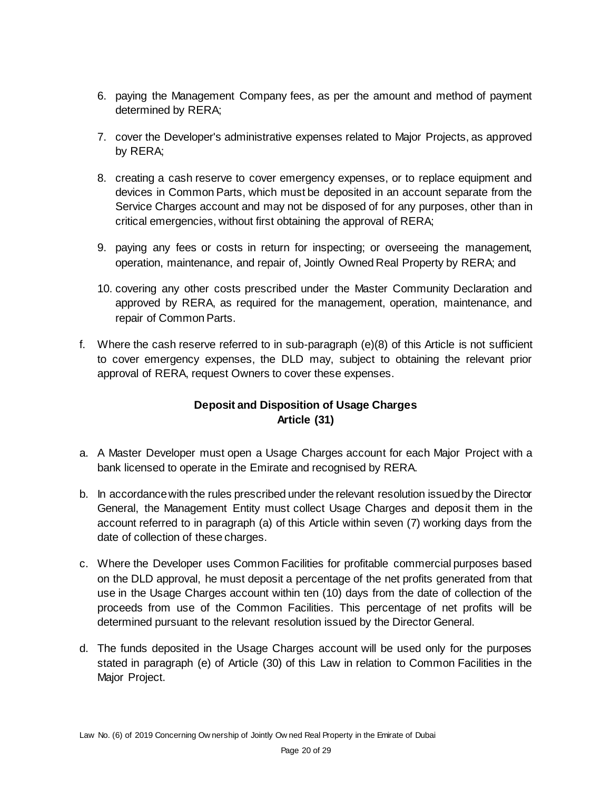- 6. paying the Management Company fees, as per the amount and method of payment determined by RERA;
- 7. cover the Developer's administrative expenses related to Major Projects, as approved by RERA;
- 8. creating a cash reserve to cover emergency expenses, or to replace equipment and devices in Common Parts, which must be deposited in an account separate from the Service Charges account and may not be disposed of for any purposes, other than in critical emergencies, without first obtaining the approval of RERA;
- 9. paying any fees or costs in return for inspecting; or overseeing the management, operation, maintenance, and repair of, Jointly Owned Real Property by RERA; and
- 10. covering any other costs prescribed under the Master Community Declaration and approved by RERA, as required for the management, operation, maintenance, and repair of Common Parts.
- f. Where the cash reserve referred to in sub-paragraph (e)(8) of this Article is not sufficient to cover emergency expenses, the DLD may, subject to obtaining the relevant prior approval of RERA, request Owners to cover these expenses.

# **Deposit and Disposition of Usage Charges Article (31)**

- a. A Master Developer must open a Usage Charges account for each Major Project with a bank licensed to operate in the Emirate and recognised by RERA.
- b. In accordance with the rules prescribed under the relevant resolution issued by the Director General, the Management Entity must collect Usage Charges and deposit them in the account referred to in paragraph (a) of this Article within seven (7) working days from the date of collection of these charges.
- c. Where the Developer uses Common Facilities for profitable commercial purposes based on the DLD approval, he must deposit a percentage of the net profits generated from that use in the Usage Charges account within ten (10) days from the date of collection of the proceeds from use of the Common Facilities. This percentage of net profits will be determined pursuant to the relevant resolution issued by the Director General.
- d. The funds deposited in the Usage Charges account will be used only for the purposes stated in paragraph (e) of Article (30) of this Law in relation to Common Facilities in the Major Project.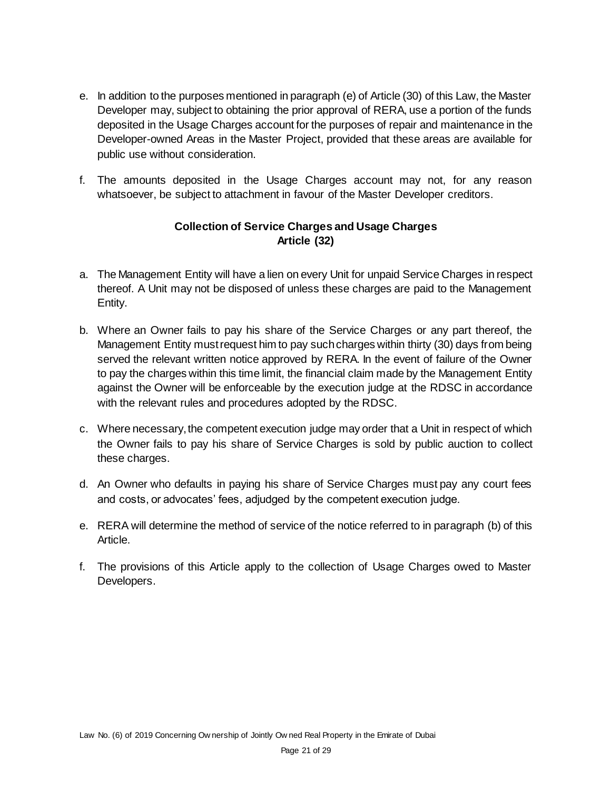- e. In addition to the purposes mentioned in paragraph (e) of Article (30) of this Law, the Master Developer may, subject to obtaining the prior approval of RERA, use a portion of the funds deposited in the Usage Charges account for the purposes of repair and maintenance in the Developer-owned Areas in the Master Project, provided that these areas are available for public use without consideration.
- f. The amounts deposited in the Usage Charges account may not, for any reason whatsoever, be subject to attachment in favour of the Master Developer creditors.

# **Collection of Service Charges and Usage Charges Article (32)**

- a. The Management Entity will have a lien on every Unit for unpaid Service Charges in respect thereof. A Unit may not be disposed of unless these charges are paid to the Management Entity.
- b. Where an Owner fails to pay his share of the Service Charges or any part thereof, the Management Entity must request him to pay such charges within thirty (30) days from being served the relevant written notice approved by RERA. In the event of failure of the Owner to pay the charges within this time limit, the financial claim made by the Management Entity against the Owner will be enforceable by the execution judge at the RDSC in accordance with the relevant rules and procedures adopted by the RDSC.
- c. Where necessary, the competent execution judge may order that a Unit in respect of which the Owner fails to pay his share of Service Charges is sold by public auction to collect these charges.
- d. An Owner who defaults in paying his share of Service Charges must pay any court fees and costs, or advocates' fees, adjudged by the competent execution judge.
- e. RERA will determine the method of service of the notice referred to in paragraph (b) of this Article.
- f. The provisions of this Article apply to the collection of Usage Charges owed to Master Developers.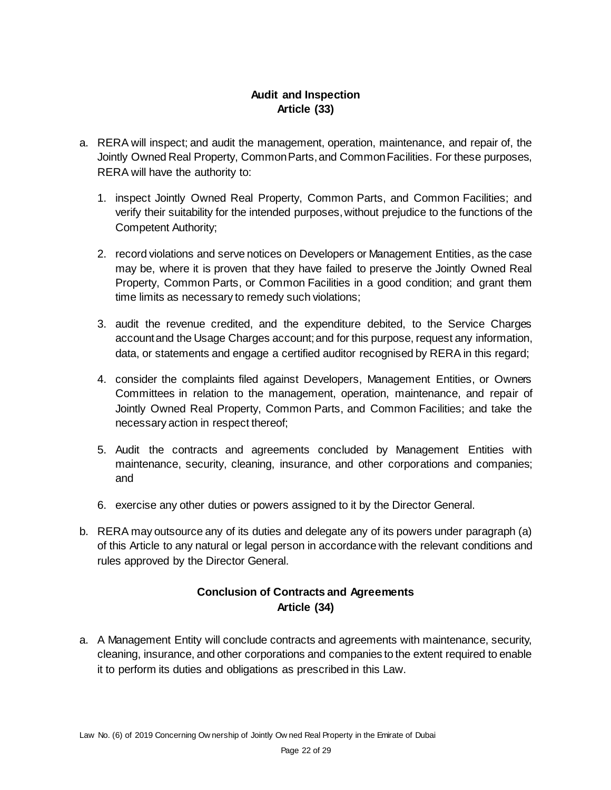# **Audit and Inspection Article (33)**

- a. RERA will inspect; and audit the management, operation, maintenance, and repair of, the Jointly Owned Real Property, Common Parts, and Common Facilities. For these purposes, RERA will have the authority to:
	- 1. inspect Jointly Owned Real Property, Common Parts, and Common Facilities; and verify their suitability for the intended purposes, without prejudice to the functions of the Competent Authority;
	- 2. record violations and serve notices on Developers or Management Entities, as the case may be, where it is proven that they have failed to preserve the Jointly Owned Real Property, Common Parts, or Common Facilities in a good condition; and grant them time limits as necessary to remedy such violations;
	- 3. audit the revenue credited, and the expenditure debited, to the Service Charges account and the Usage Charges account; and for this purpose, request any information, data, or statements and engage a certified auditor recognised by RERA in this regard;
	- 4. consider the complaints filed against Developers, Management Entities, or Owners Committees in relation to the management, operation, maintenance, and repair of Jointly Owned Real Property, Common Parts, and Common Facilities; and take the necessary action in respect thereof;
	- 5. Audit the contracts and agreements concluded by Management Entities with maintenance, security, cleaning, insurance, and other corporations and companies; and
	- 6. exercise any other duties or powers assigned to it by the Director General.
- b. RERA may outsource any of its duties and delegate any of its powers under paragraph (a) of this Article to any natural or legal person in accordance with the relevant conditions and rules approved by the Director General.

# **Conclusion of Contracts and Agreements Article (34)**

a. A Management Entity will conclude contracts and agreements with maintenance, security, cleaning, insurance, and other corporations and companies to the extent required to enable it to perform its duties and obligations as prescribed in this Law.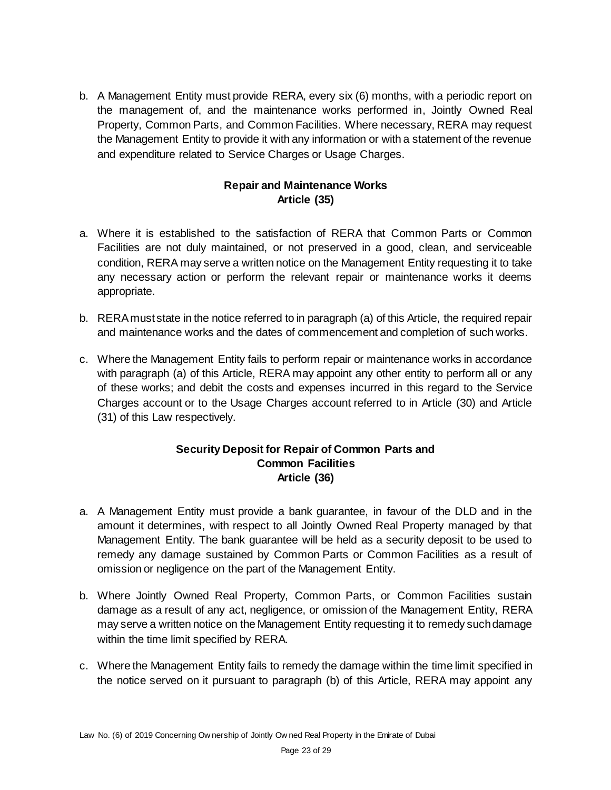b. A Management Entity must provide RERA, every six (6) months, with a periodic report on the management of, and the maintenance works performed in, Jointly Owned Real Property, Common Parts, and Common Facilities. Where necessary, RERA may request the Management Entity to provide it with any information or with a statement of the revenue and expenditure related to Service Charges or Usage Charges.

### **Repair and Maintenance Works Article (35)**

- a. Where it is established to the satisfaction of RERA that Common Parts or Common Facilities are not duly maintained, or not preserved in a good, clean, and serviceable condition, RERA may serve a written notice on the Management Entity requesting it to take any necessary action or perform the relevant repair or maintenance works it deems appropriate.
- b. RERA must state in the notice referred to in paragraph (a) of this Article, the required repair and maintenance works and the dates of commencement and completion of such works.
- c. Where the Management Entity fails to perform repair or maintenance works in accordance with paragraph (a) of this Article, RERA may appoint any other entity to perform all or any of these works; and debit the costs and expenses incurred in this regard to the Service Charges account or to the Usage Charges account referred to in Article (30) and Article (31) of this Law respectively.

#### **Security Deposit for Repair of Common Parts and Common Facilities Article (36)**

- a. A Management Entity must provide a bank guarantee, in favour of the DLD and in the amount it determines, with respect to all Jointly Owned Real Property managed by that Management Entity. The bank guarantee will be held as a security deposit to be used to remedy any damage sustained by Common Parts or Common Facilities as a result of omission or negligence on the part of the Management Entity.
- b. Where Jointly Owned Real Property, Common Parts, or Common Facilities sustain damage as a result of any act, negligence, or omission of the Management Entity, RERA may serve a written notice on the Management Entity requesting it to remedy such damage within the time limit specified by RERA.
- c. Where the Management Entity fails to remedy the damage within the time limit specified in the notice served on it pursuant to paragraph (b) of this Article, RERA may appoint any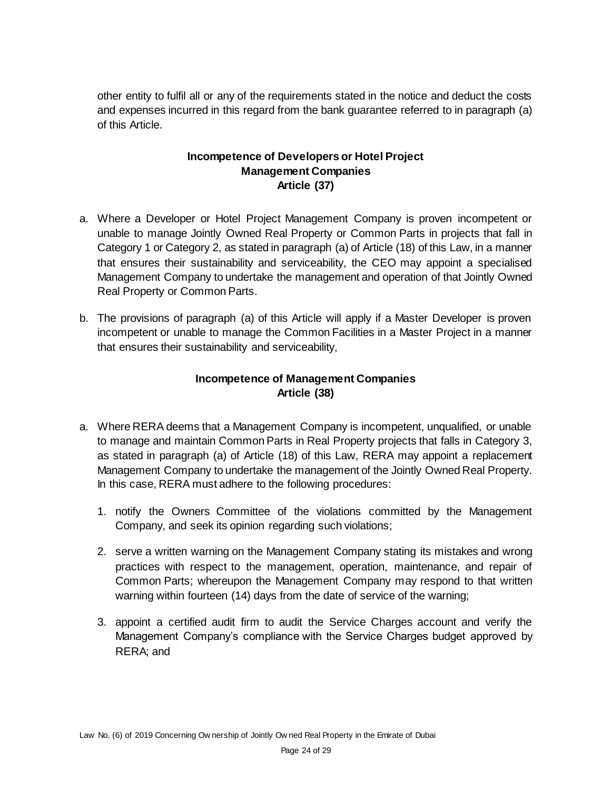other entity to fulfil all or any of the requirements stated in the notice and deduct the costs and expenses incurred in this regard from the bank guarantee referred to in paragraph (a) of this Article.

### **Incompetence of Developers or Hotel Project Management Companies Article (37)**

- a. Where a Developer or Hotel Project Management Company is proven incompetent or unable to manage Jointly Owned Real Property or Common Parts in projects that fall in Category 1 or Category 2, as stated in paragraph (a) of Article (18) of this Law, in a manner that ensures their sustainability and serviceability, the CEO may appoint a specialised Management Company to undertake the management and operation of that Jointly Owned Real Property or Common Parts.
- b. The provisions of paragraph (a) of this Article will apply if a Master Developer is proven incompetent or unable to manage the Common Facilities in a Master Project in a manner that ensures their sustainability and serviceability,

### **Incompetence of Management Companies Article (38)**

- a. Where RERA deems that a Management Company is incompetent, unqualified, or unable to manage and maintain Common Parts in Real Property projects that falls in Category 3, as stated in paragraph (a) of Article (18) of this Law, RERA may appoint a replacement Management Company to undertake the management of the Jointly Owned Real Property. In this case, RERA must adhere to the following procedures:
	- 1. notify the Owners Committee of the violations committed by the Management Company, and seek its opinion regarding such violations;
	- 2. serve a written warning on the Management Company stating its mistakes and wrong practices with respect to the management, operation, maintenance, and repair of Common Parts; whereupon the Management Company may respond to that written warning within fourteen (14) days from the date of service of the warning;
	- 3. appoint a certified audit firm to audit the Service Charges account and verify the Management Company's compliance with the Service Charges budget approved by RERA; and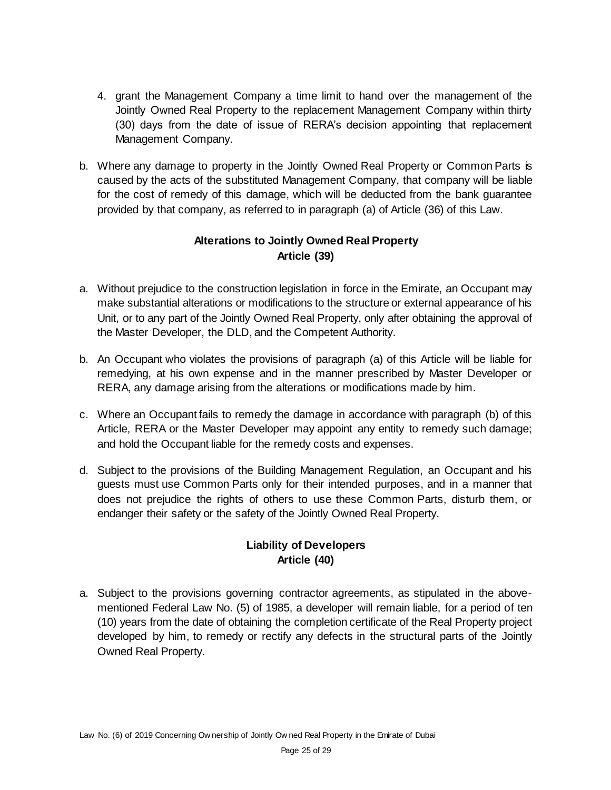- 4. grant the Management Company a time limit to hand over the management of the Jointly Owned Real Property to the replacement Management Company within thirty (30) days from the date of issue of RERA's decision appointing that replacement Management Company.
- b. Where any damage to property in the Jointly Owned Real Property or Common Parts is caused by the acts of the substituted Management Company, that company will be liable for the cost of remedy of this damage, which will be deducted from the bank guarantee provided by that company, as referred to in paragraph (a) of Article (36) of this Law.

## **Alterations to Jointly Owned Real Property Article (39)**

- a. Without prejudice to the construction legislation in force in the Emirate, an Occupant may make substantial alterations or modifications to the structure or external appearance of his Unit, or to any part of the Jointly Owned Real Property, only after obtaining the approval of the Master Developer, the DLD, and the Competent Authority.
- b. An Occupant who violates the provisions of paragraph (a) of this Article will be liable for remedying, at his own expense and in the manner prescribed by Master Developer or RERA, any damage arising from the alterations or modifications made by him.
- c. Where an Occupant fails to remedy the damage in accordance with paragraph (b) of this Article, RERA or the Master Developer may appoint any entity to remedy such damage; and hold the Occupant liable for the remedy costs and expenses.
- d. Subject to the provisions of the Building Management Regulation, an Occupant and his guests must use Common Parts only for their intended purposes, and in a manner that does not prejudice the rights of others to use these Common Parts, disturb them, or endanger their safety or the safety of the Jointly Owned Real Property.

# **Liability of Developers Article (40)**

a. Subject to the provisions governing contractor agreements, as stipulated in the abovementioned Federal Law No. (5) of 1985, a developer will remain liable, for a period of ten (10) years from the date of obtaining the completion certificate of the Real Property project developed by him, to remedy or rectify any defects in the structural parts of the Jointly Owned Real Property.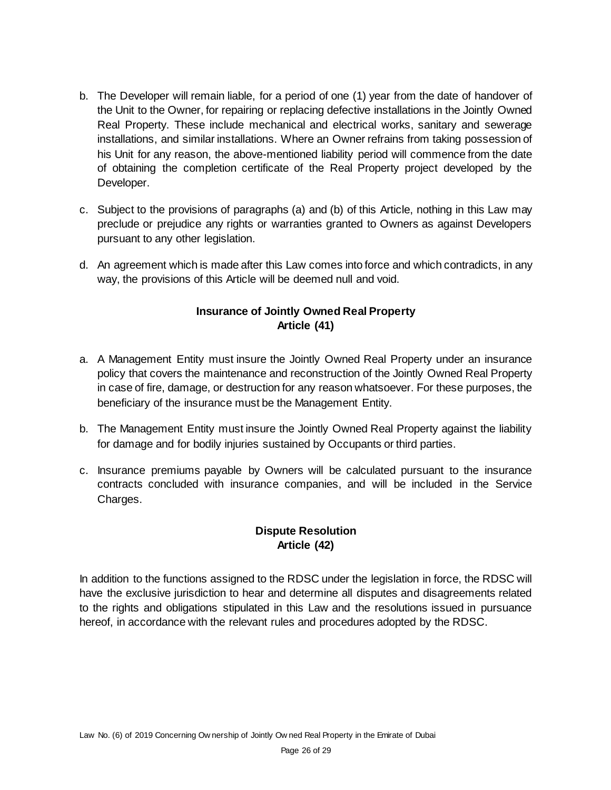- b. The Developer will remain liable, for a period of one (1) year from the date of handover of the Unit to the Owner, for repairing or replacing defective installations in the Jointly Owned Real Property. These include mechanical and electrical works, sanitary and sewerage installations, and similar installations. Where an Owner refrains from taking possession of his Unit for any reason, the above-mentioned liability period will commence from the date of obtaining the completion certificate of the Real Property project developed by the Developer.
- c. Subject to the provisions of paragraphs (a) and (b) of this Article, nothing in this Law may preclude or prejudice any rights or warranties granted to Owners as against Developers pursuant to any other legislation.
- d. An agreement which is made after this Law comes into force and which contradicts, in any way, the provisions of this Article will be deemed null and void.

### **Insurance of Jointly Owned Real Property Article (41)**

- a. A Management Entity must insure the Jointly Owned Real Property under an insurance policy that covers the maintenance and reconstruction of the Jointly Owned Real Property in case of fire, damage, or destruction for any reason whatsoever. For these purposes, the beneficiary of the insurance must be the Management Entity.
- b. The Management Entity must insure the Jointly Owned Real Property against the liability for damage and for bodily injuries sustained by Occupants or third parties.
- c. Insurance premiums payable by Owners will be calculated pursuant to the insurance contracts concluded with insurance companies, and will be included in the Service Charges.

# **Dispute Resolution Article (42)**

In addition to the functions assigned to the RDSC under the legislation in force, the RDSC will have the exclusive jurisdiction to hear and determine all disputes and disagreements related to the rights and obligations stipulated in this Law and the resolutions issued in pursuance hereof, in accordance with the relevant rules and procedures adopted by the RDSC.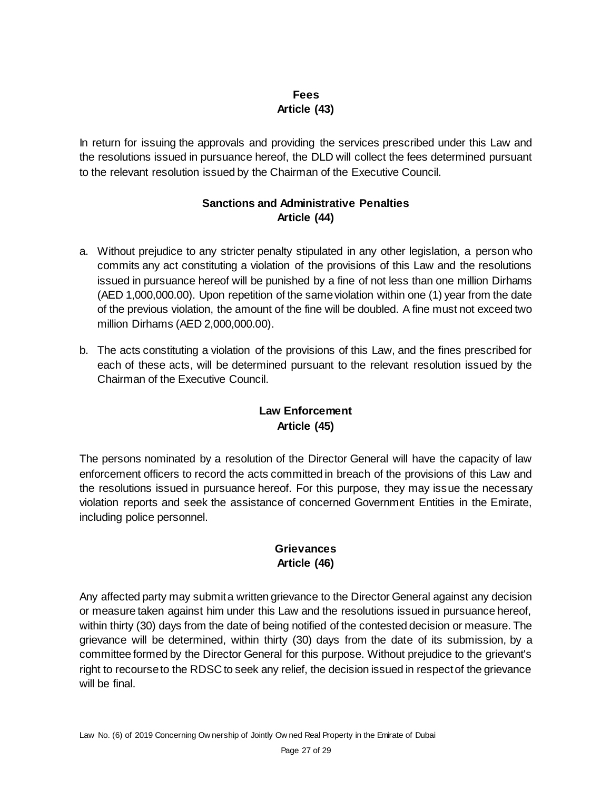# **Fees Article (43)**

In return for issuing the approvals and providing the services prescribed under this Law and the resolutions issued in pursuance hereof, the DLD will collect the fees determined pursuant to the relevant resolution issued by the Chairman of the Executive Council.

# **Sanctions and Administrative Penalties Article (44)**

- a. Without prejudice to any stricter penalty stipulated in any other legislation, a person who commits any act constituting a violation of the provisions of this Law and the resolutions issued in pursuance hereof will be punished by a fine of not less than one million Dirhams (AED 1,000,000.00). Upon repetition of the same violation within one (1) year from the date of the previous violation, the amount of the fine will be doubled. A fine must not exceed two million Dirhams (AED 2,000,000.00).
- b. The acts constituting a violation of the provisions of this Law, and the fines prescribed for each of these acts, will be determined pursuant to the relevant resolution issued by the Chairman of the Executive Council.

### **Law Enforcement Article (45)**

The persons nominated by a resolution of the Director General will have the capacity of law enforcement officers to record the acts committed in breach of the provisions of this Law and the resolutions issued in pursuance hereof. For this purpose, they may issue the necessary violation reports and seek the assistance of concerned Government Entities in the Emirate, including police personnel.

### **Grievances Article (46)**

Any affected party may submit a written grievance to the Director General against any decision or measure taken against him under this Law and the resolutions issued in pursuance hereof, within thirty (30) days from the date of being notified of the contested decision or measure. The grievance will be determined, within thirty (30) days from the date of its submission, by a committee formed by the Director General for this purpose. Without prejudice to the grievant's right to recourse to the RDSC to seek any relief, the decision issued in respect of the grievance will be final.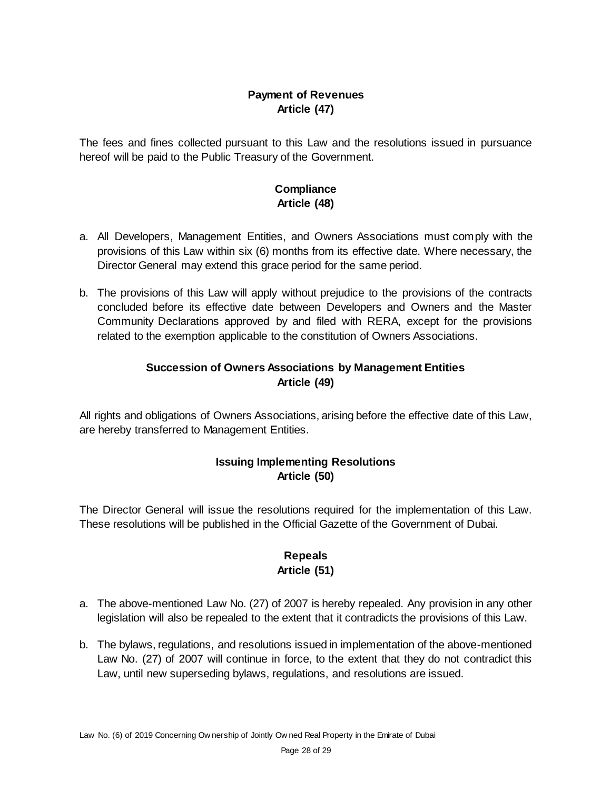# **Payment of Revenues Article (47)**

The fees and fines collected pursuant to this Law and the resolutions issued in pursuance hereof will be paid to the Public Treasury of the Government.

### **Compliance Article (48)**

- a. All Developers, Management Entities, and Owners Associations must comply with the provisions of this Law within six (6) months from its effective date. Where necessary, the Director General may extend this grace period for the same period.
- b. The provisions of this Law will apply without prejudice to the provisions of the contracts concluded before its effective date between Developers and Owners and the Master Community Declarations approved by and filed with RERA, except for the provisions related to the exemption applicable to the constitution of Owners Associations.

# **Succession of Owners Associations by Management Entities Article (49)**

All rights and obligations of Owners Associations, arising before the effective date of this Law, are hereby transferred to Management Entities.

# **Issuing Implementing Resolutions Article (50)**

The Director General will issue the resolutions required for the implementation of this Law. These resolutions will be published in the Official Gazette of the Government of Dubai.

# **Repeals Article (51)**

- a. The above-mentioned Law No. (27) of 2007 is hereby repealed. Any provision in any other legislation will also be repealed to the extent that it contradicts the provisions of this Law.
- b. The bylaws, regulations, and resolutions issued in implementation of the above-mentioned Law No. (27) of 2007 will continue in force, to the extent that they do not contradict this Law, until new superseding bylaws, regulations, and resolutions are issued.